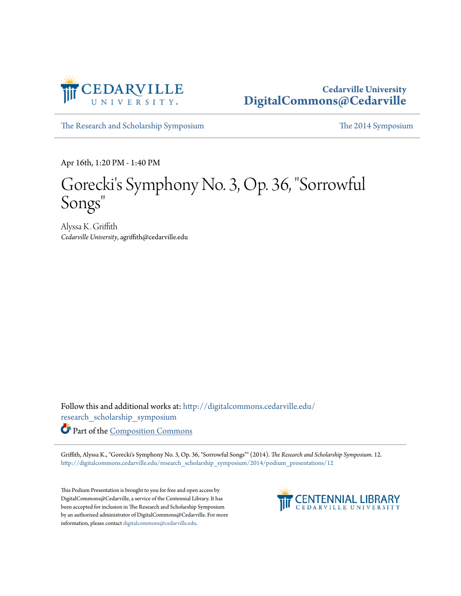

#### **Cedarville University [DigitalCommons@Cedarville](http://digitalcommons.cedarville.edu?utm_source=digitalcommons.cedarville.edu%2Fresearch_scholarship_symposium%2F2014%2Fpodium_presentations%2F12&utm_medium=PDF&utm_campaign=PDFCoverPages)**

[The Research and Scholarship Symposium](http://digitalcommons.cedarville.edu/research_scholarship_symposium?utm_source=digitalcommons.cedarville.edu%2Fresearch_scholarship_symposium%2F2014%2Fpodium_presentations%2F12&utm_medium=PDF&utm_campaign=PDFCoverPages) [The 2014 Symposium](http://digitalcommons.cedarville.edu/research_scholarship_symposium/2014?utm_source=digitalcommons.cedarville.edu%2Fresearch_scholarship_symposium%2F2014%2Fpodium_presentations%2F12&utm_medium=PDF&utm_campaign=PDFCoverPages)

Apr 16th, 1:20 PM - 1:40 PM

### Gorecki's Symphony No. 3, Op. 36, "Sorrowful Songs "

Alyssa K. Griffith *Cedarville University*, agriffith@cedarville.edu

Follow this and additional works at: [http://digitalcommons.cedarville.edu/](http://digitalcommons.cedarville.edu/research_scholarship_symposium?utm_source=digitalcommons.cedarville.edu%2Fresearch_scholarship_symposium%2F2014%2Fpodium_presentations%2F12&utm_medium=PDF&utm_campaign=PDFCoverPages) [research\\_scholarship\\_symposium](http://digitalcommons.cedarville.edu/research_scholarship_symposium?utm_source=digitalcommons.cedarville.edu%2Fresearch_scholarship_symposium%2F2014%2Fpodium_presentations%2F12&utm_medium=PDF&utm_campaign=PDFCoverPages)

Part of the [Composition Commons](http://network.bepress.com/hgg/discipline/519?utm_source=digitalcommons.cedarville.edu%2Fresearch_scholarship_symposium%2F2014%2Fpodium_presentations%2F12&utm_medium=PDF&utm_campaign=PDFCoverPages)

Griffith, Alyssa K., "Gorecki's Symphony No. 3, Op. 36, "Sorrowful Songs"" (2014). *The Research and Scholarship Symposium*. 12. [http://digitalcommons.cedarville.edu/research\\_scholarship\\_symposium/2014/podium\\_presentations/12](http://digitalcommons.cedarville.edu/research_scholarship_symposium/2014/podium_presentations/12?utm_source=digitalcommons.cedarville.edu%2Fresearch_scholarship_symposium%2F2014%2Fpodium_presentations%2F12&utm_medium=PDF&utm_campaign=PDFCoverPages)

This Podium Presentation is brought to you for free and open access by DigitalCommons@Cedarville, a service of the Centennial Library. It has been accepted for inclusion in The Research and Scholarship Symposium by an authorized administrator of DigitalCommons@Cedarville. For more information, please contact [digitalcommons@cedarville.edu.](mailto:digitalcommons@cedarville.edu)

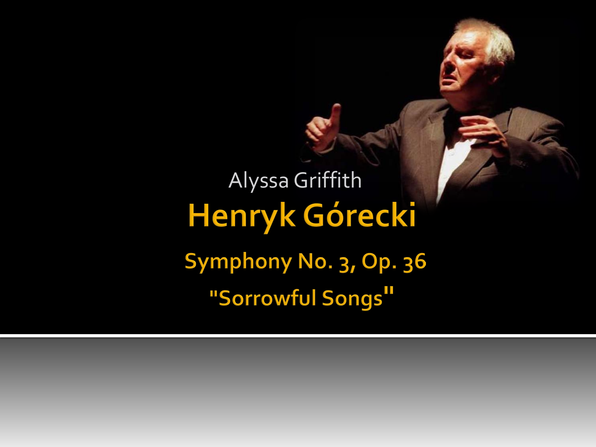# Alyssa Griffith Henryk Górecki Symphony No. 3, Op. 36 "Sorrowful Songs"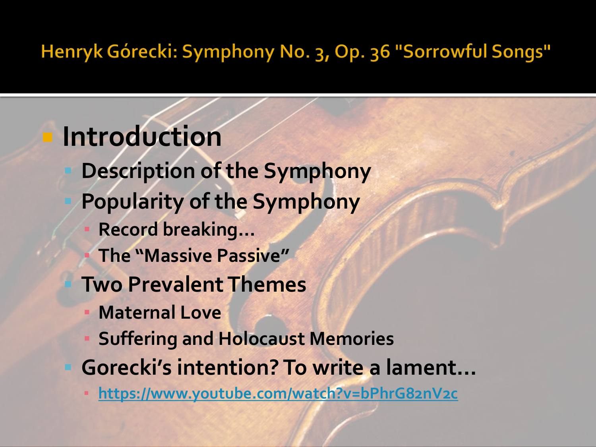**Introduction**

- **Description of the Symphony**
- **Popularity of the Symphony**
	- **Record breaking…**
	- **The "Massive Passive"**
	- **Two Prevalent Themes**
	- **Maternal Love**
	- **Suffering and Holocaust Memories**
- **Gorecki's intention? To write a lament…**
	- **<https://www.youtube.com/watch?v=bPhrG82nV2c>**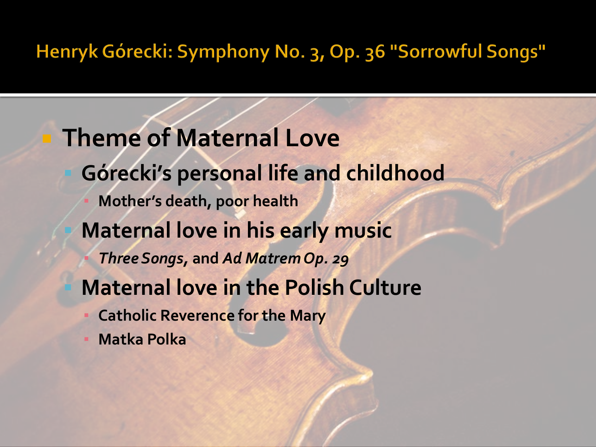**Theme of Maternal Love Górecki's personal life and childhood Mother's death, poor health Maternal love in his early music** ▪ *Three Songs,* **and** *Ad Matrem Op. 29* **Maternal love in the Polish Culture Catholic Reverence for the Mary** 

**Matka Polka**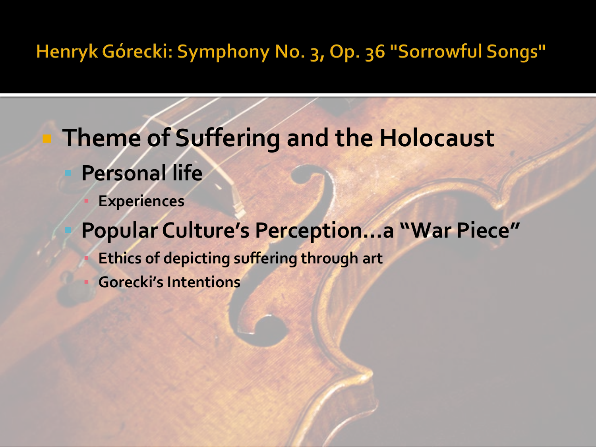**Theme of Suffering and the Holocaust Personal life Experiences Popular Culture's Perception…a "War Piece" Ethics of depicting suffering through art** ▪ **Gorecki's Intentions**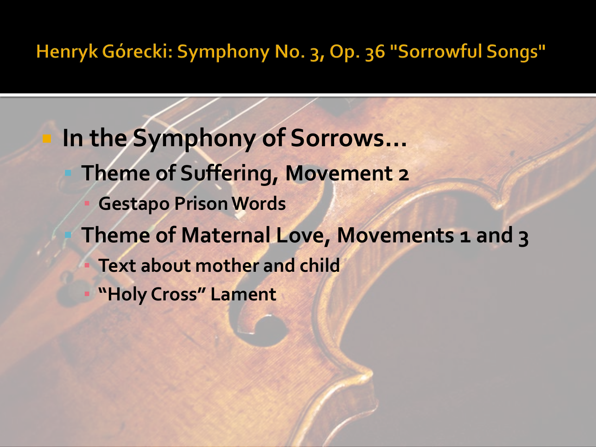**In the Symphony of Sorrows… Theme of Suffering, Movement 2 Gestapo Prison Words Theme of Maternal Love, Movements 1 and 3 Text about mother and child "Holy Cross" Lament**